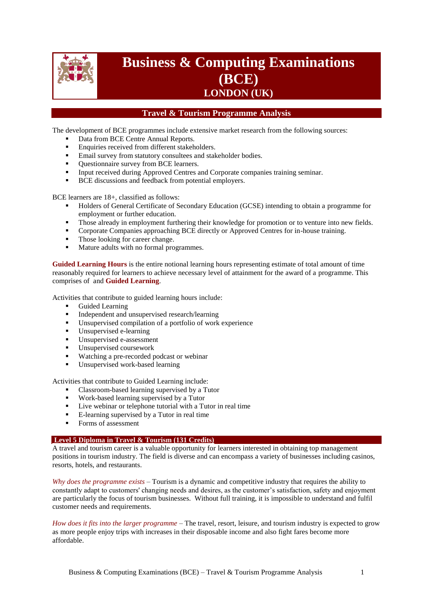

# **Business & Computing Examinations (BCE) LONDON (UK)**

## **Travel & Tourism Programme Analysis**

The development of BCE programmes include extensive market research from the following sources:

- Data from BCE Centre Annual Reports.
- Enquiries received from different stakeholders.
- **Email survey from statutory consultees and stakeholder bodies.**
- Ouestionnaire survey from BCE learners.
- Input received during Approved Centres and Corporate companies training seminar.
- BCE discussions and feedback from potential employers.

BCE learners are 18+, classified as follows:

- Holders of General Certificate of Secondary Education (GCSE) intending to obtain a programme for employment or further education.
- Those already in employment furthering their knowledge for promotion or to venture into new fields.
- Corporate Companies approaching BCE directly or Approved Centres for in-house training.
- Those looking for career change.
- Mature adults with no formal programmes.

**Guided Learning Hours** is the entire notional learning hours representing estimate of total amount of time reasonably required for learners to achieve necessary level of attainment for the award of a programme. This comprises of and **Guided Learning**.

Activities that contribute to guided learning hours include:

- Guided Learning<br>Independent and t
- Independent and unsupervised research/learning
- Unsupervised compilation of a portfolio of work experience
- **Unsupervised e-learning**
- Unsupervised e-assessment
- **Unsupervised coursework**
- Watching a pre-recorded podcast or webinar
- Unsupervised work-based learning

Activities that contribute to Guided Learning include:

- Classroom-based learning supervised by a Tutor
- Work-based learning supervised by a Tutor
- Live webinar or telephone tutorial with a Tutor in real time
- E-learning supervised by a Tutor in real time
- Forms of assessment

#### **Level 5 Diploma in Travel & Tourism (131 Credits)**

A travel and tourism career is a valuable opportunity for learners interested in obtaining top management positions in tourism industry. The field is diverse and can encompass a variety of businesses including casinos, resorts, hotels, and restaurants.

*Why does the programme exists* – Tourism is a dynamic and competitive industry that requires the ability to constantly adapt to customers' changing needs and desires, as the customer's satisfaction, safety and enjoyment are particularly the focus of tourism businesses. Without full training, it is impossible to understand and fulfil customer needs and requirements.

*How does it fits into the larger programme* – The travel, resort, leisure, and tourism industry is expected to grow as more people enjoy trips with increases in their disposable income and also fight fares become more affordable.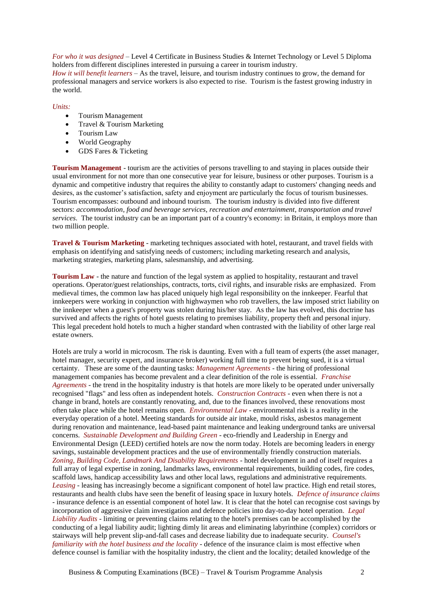*For who it was designed* – Level 4 Certificate in Business Studies & Internet Technology or Level 5 Diploma holders from different disciplines interested in pursuing a career in tourism industry.

*How it will benefit learners* – As the travel, leisure, and tourism industry continues to grow, the demand for professional managers and service workers is also expected to rise. Tourism is the fastest growing industry in the world.

#### *Units:*

- Tourism Management
- Travel & Tourism Marketing
- Tourism Law
- World Geography
- GDS Fares & Ticketing

**Tourism Management** - tourism are the activities of persons travelling to and staying in places outside their usual environment for not more than one consecutive year for leisure, business or other purposes. Tourism is a dynamic and competitive industry that requires the ability to constantly adapt to customers' changing needs and desires, as the customer's satisfaction, safety and enjoyment are particularly the focus of tourism businesses. Tourism encompasses: outbound and inbound tourism. The tourism industry is divided into five different sectors: *accommodation*, *food and beverage services*, *recreation and entertainment*, *transportation and travel services*. The tourist industry can be an important part of a country's economy: in Britain, it employs more than two million people.

**Travel & Tourism Marketing** - marketing techniques associated with hotel, restaurant, and travel fields with emphasis on identifying and satisfying needs of customers; including marketing research and analysis, marketing strategies, marketing plans, salesmanship, and advertising.

**Tourism Law** - the nature and function of the legal system as applied to hospitality, restaurant and travel operations. Operator/guest relationships, contracts, torts, civil rights, and insurable risks are emphasized. From medieval times, the common law has placed uniquely high legal responsibility on the innkeeper. Fearful that innkeepers were working in conjunction with highwaymen who rob travellers, the law imposed strict liability on the innkeeper when a guest's property was stolen during his/her stay. As the law has evolved, this doctrine has survived and affects the rights of hotel guests relating to premises liability, property theft and personal injury. This legal precedent hold hotels to much a higher standard when contrasted with the liability of other large real estate owners.

Hotels are truly a world in microcosm. The risk is daunting. Even with a full team of experts (the asset manager, hotel manager, security expert, and insurance broker) working full time to prevent being sued, it is a virtual certainty. These are some of the daunting tasks: *Management Agreements* - the hiring of professional management companies has become prevalent and a clear definition of the role is essential. *Franchise Agreements* - the trend in the hospitality industry is that hotels are more likely to be operated under universally recognised "flags" and less often as independent hotels. *Construction Contracts* - even when there is not a change in brand, hotels are constantly renovating, and, due to the finances involved, these renovations most often take place while the hotel remains open. *Environmental Law* - environmental risk is a reality in the everyday operation of a hotel. Meeting standards for outside air intake, mould risks, asbestos management during renovation and maintenance, lead-based paint maintenance and leaking underground tanks are universal concerns. *Sustainable Development and Building Green* - eco-friendly and Leadership in Energy and Environmental Design (LEED) certified hotels are now the norm today. Hotels are becoming leaders in energy savings, sustainable development practices and the use of environmentally friendly construction materials. *Zoning, Building Code, Landmark And Disability Requirements* - hotel development in and of itself requires a full array of legal expertise in zoning, landmarks laws, environmental requirements, building codes, fire codes, scaffold laws, handicap accessibility laws and other local laws, regulations and administrative requirements. *Leasing* - leasing has increasingly become a significant component of hotel law practice. High end retail stores, restaurants and health clubs have seen the benefit of leasing space in luxury hotels. *Defence of insurance claims* - insurance defence is an essential component of hotel law. It is clear that the hotel can recognise cost savings by incorporation of aggressive claim investigation and defence policies into day-to-day hotel operation. *Legal Liability Audits* - limiting or preventing claims relating to the hotel's premises can be accomplished by the conducting of a legal liability audit; lighting dimly lit areas and eliminating labyrinthine (complex) corridors or stairways will help prevent slip-and-fall cases and decrease liability due to inadequate security. *Counsel's familiarity with the hotel business and the locality* - defence of the insurance claim is most effective when defence counsel is familiar with the hospitality industry, the client and the locality; detailed knowledge of the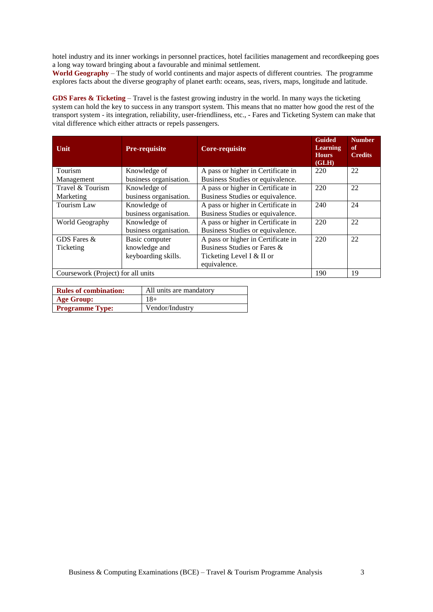hotel industry and its inner workings in personnel practices, hotel facilities management and recordkeeping goes a long way toward bringing about a favourable and minimal settlement.

**World Geography** – The study of world continents and major aspects of different countries. The programme explores facts about the diverse geography of planet earth: oceans, seas, rivers, maps, longitude and latitude.

**GDS Fares & Ticketing** – Travel is the fastest growing industry in the world. In many ways the ticketing system can hold the key to success in any transport system. This means that no matter how good the rest of the transport system - its integration, reliability, user-friendliness, etc., - Fares and Ticketing System can make that vital difference which either attracts or repels passengers.

| Unit                                                              | <b>Pre-requisite</b>   | Core-requisite                     | <b>Guided</b><br><b>Learning</b><br><b>Hours</b><br>(GLH) | <b>Number</b><br>of<br><b>Credits</b> |
|-------------------------------------------------------------------|------------------------|------------------------------------|-----------------------------------------------------------|---------------------------------------|
| Tourism                                                           | Knowledge of           | A pass or higher in Certificate in | 220                                                       | 22                                    |
| Management                                                        | business organisation. | Business Studies or equivalence.   |                                                           |                                       |
| Travel & Tourism                                                  | Knowledge of           | A pass or higher in Certificate in | 220                                                       | 22                                    |
| Marketing                                                         | business organisation. | Business Studies or equivalence.   |                                                           |                                       |
| Tourism Law<br>A pass or higher in Certificate in<br>Knowledge of |                        |                                    | 240                                                       | 24                                    |
|                                                                   | business organisation. | Business Studies or equivalence.   |                                                           |                                       |
| Knowledge of<br>World Geography                                   |                        | A pass or higher in Certificate in | 220                                                       | 22                                    |
|                                                                   | business organisation. | Business Studies or equivalence.   |                                                           |                                       |
| GDS Fares &                                                       | Basic computer         | A pass or higher in Certificate in | 220                                                       | 22                                    |
| Ticketing                                                         | knowledge and          | Business Studies or Fares &        |                                                           |                                       |
|                                                                   | keyboarding skills.    | Ticketing Level I & II or          |                                                           |                                       |
|                                                                   |                        | equivalence.                       |                                                           |                                       |
| Coursework (Project) for all units                                |                        |                                    | 190                                                       | 19                                    |

| <b>Rules of combination:</b> | All units are mandatory |  |  |  |
|------------------------------|-------------------------|--|--|--|
| Age Group:                   | $18+$                   |  |  |  |
| <b>Programme Type:</b>       | Vendor/Industry         |  |  |  |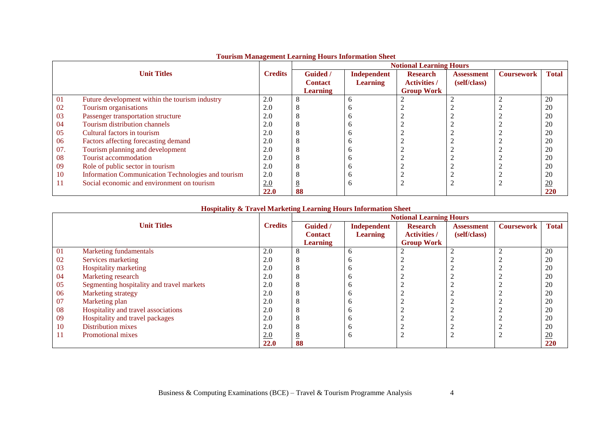|      |                                                    |                | <b>Notional Learning Hours</b> |                 |                     |                   |                   |                |  |
|------|----------------------------------------------------|----------------|--------------------------------|-----------------|---------------------|-------------------|-------------------|----------------|--|
|      | <b>Unit Titles</b>                                 | <b>Credits</b> | <b>Guided</b> /                | Independent     | <b>Research</b>     | <b>Assessment</b> | <b>Coursework</b> | <b>Total</b>   |  |
|      |                                                    |                | <b>Contact</b>                 | <b>Learning</b> | <b>Activities /</b> | (self/class)      |                   |                |  |
|      |                                                    |                | <b>Learning</b>                |                 | <b>Group Work</b>   |                   |                   |                |  |
| 01   | Future development within the tourism industry     | 2.0            |                                | n               |                     |                   |                   | 20             |  |
| 02   | Tourism organisations                              | 2.0            |                                |                 |                     |                   |                   | 20             |  |
| 03   | Passenger transportation structure                 | 2.0            |                                |                 |                     |                   |                   | 20             |  |
| 04   | Tourism distribution channels                      | 2.0            |                                |                 |                     |                   |                   | 20             |  |
| 05   | Cultural factors in tourism                        | 2.0            |                                |                 |                     |                   |                   | 20             |  |
| 06   | Factors affecting forecasting demand               | 2.0            |                                |                 |                     |                   |                   | 20             |  |
| 07.  | Tourism planning and development                   | 2.0            |                                |                 |                     |                   |                   | 20             |  |
| 08   | Tourist accommodation                              | 2.0            |                                |                 |                     |                   |                   | 20             |  |
| 09   | Role of public sector in tourism                   | 2.0            |                                |                 |                     |                   |                   | 20             |  |
| 10   | Information Communication Technologies and tourism | 2.0            |                                |                 |                     |                   |                   | 20             |  |
| -1-1 | Social economic and environment on tourism         | 2.0            |                                | л               |                     |                   |                   | $\frac{20}{2}$ |  |
|      |                                                    | 22.0           | 88                             |                 |                     |                   |                   | 220            |  |

## **Tourism Management Learning Hours Information Sheet**

#### **Hospitality & Travel Marketing Learning Hours Information Sheet**

|    |                                           |                |                      |                    | <b>Notional Learning Hours</b> |                   |                   |                 |  |  |  |  |
|----|-------------------------------------------|----------------|----------------------|--------------------|--------------------------------|-------------------|-------------------|-----------------|--|--|--|--|
|    | <b>Unit Titles</b>                        | <b>Credits</b> | <b>Guided</b> /      | <b>Independent</b> | <b>Research</b>                | <b>Assessment</b> | <b>Coursework</b> | <b>Total</b>    |  |  |  |  |
|    |                                           |                | <b>Contact</b>       | <b>Learning</b>    | <b>Activities</b> /            | (self/class)      |                   |                 |  |  |  |  |
|    |                                           |                | <b>Learning</b>      |                    | <b>Group Work</b>              |                   |                   |                 |  |  |  |  |
| 01 | Marketing fundamentals                    | 2.0            | $\Omega$<br>$\Omega$ |                    |                                |                   |                   | 20              |  |  |  |  |
| 02 | Services marketing                        | 2.0            | $\Omega$             |                    |                                |                   |                   | 20              |  |  |  |  |
| 03 | <b>Hospitality marketing</b>              | 2.0            | $\Delta$             |                    |                                |                   |                   | 20              |  |  |  |  |
| 04 | Marketing research                        | 2.0            | Λ                    |                    |                                |                   |                   | 20              |  |  |  |  |
| 05 | Segmenting hospitality and travel markets | 2.0            | $\Omega$             |                    |                                |                   |                   | 20              |  |  |  |  |
| 06 | Marketing strategy                        | 2.0            | ◠                    |                    |                                |                   |                   | 20              |  |  |  |  |
| 07 | Marketing plan                            | 2.0            | ◠                    |                    |                                |                   |                   | 20              |  |  |  |  |
| 08 | Hospitality and travel associations       | 2.0            | $\Omega$             |                    |                                |                   |                   | 20              |  |  |  |  |
| 09 | Hospitality and travel packages           | 2.0            | Λ                    |                    |                                |                   |                   | 20              |  |  |  |  |
| 10 | Distribution mixes                        | 2.0            | Λ                    |                    |                                |                   |                   | 20              |  |  |  |  |
| 11 | Promotional mixes                         | 2.0            | <u>ە</u>             |                    |                                |                   |                   | $\overline{20}$ |  |  |  |  |
|    |                                           | 22.0           | 88                   |                    |                                |                   |                   | 220             |  |  |  |  |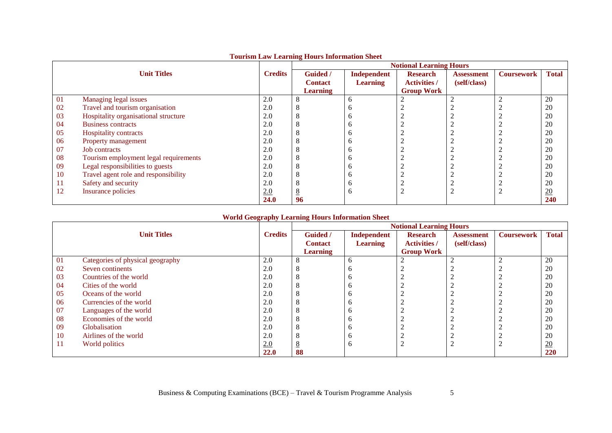|    |                                       |                | Tourism Law Learning Hours Information Sheet | <b>Notional Learning Hours</b> |                     |                   |                   |                  |  |
|----|---------------------------------------|----------------|----------------------------------------------|--------------------------------|---------------------|-------------------|-------------------|------------------|--|
|    | <b>Unit Titles</b>                    | <b>Credits</b> | <b>Guided</b> /                              | <b>Independent</b>             | <b>Research</b>     | <b>Assessment</b> | <b>Coursework</b> | <b>Total</b>     |  |
|    |                                       |                | <b>Contact</b>                               | <b>Learning</b>                | <b>Activities /</b> | (self/class)      |                   |                  |  |
|    |                                       |                | <b>Learning</b>                              |                                | <b>Group Work</b>   |                   |                   |                  |  |
| 01 | Managing legal issues                 | 2.0            |                                              | h                              | ◠                   |                   |                   | 20               |  |
| 02 | Travel and tourism organisation       | 2.0            |                                              |                                |                     |                   |                   | 20               |  |
| 03 | Hospitality organisational structure  | 2.0            |                                              |                                |                     |                   |                   | 20               |  |
| 04 | <b>Business contracts</b>             | 2.0            |                                              | n                              |                     |                   |                   | 20               |  |
| 05 | Hospitality contracts                 | 2.0            |                                              | n                              |                     |                   |                   | 20               |  |
| 06 | Property management                   | 2.0            |                                              |                                |                     |                   |                   | 20               |  |
| 07 | <b>Job</b> contracts                  | 2.0            |                                              |                                |                     |                   |                   | 20               |  |
| 08 | Tourism employment legal requirements | 2.0            |                                              |                                |                     |                   |                   | 20               |  |
| 09 | Legal responsibilities to guests      | 2.0            |                                              | n                              |                     |                   |                   | 20               |  |
| 10 | Travel agent role and responsibility  | 2.0            |                                              |                                |                     |                   |                   | 20               |  |
| 11 | Safety and security                   | 2.0            |                                              |                                |                     |                   |                   | 20               |  |
| 12 | Insurance policies                    | 2.0            |                                              | n                              |                     |                   |                   | $\underline{20}$ |  |
|    |                                       | 24.0           | 96                                           |                                |                     |                   |                   | 240              |  |

### **Tourism Law Learning Hours Information Sheet**

#### **World Geography Learning Hours Information Sheet**

|    |                                  |                | <b>Notional Learning Hours</b> |                 |                     |                   |                   |                  |  |
|----|----------------------------------|----------------|--------------------------------|-----------------|---------------------|-------------------|-------------------|------------------|--|
|    | <b>Unit Titles</b>               | <b>Credits</b> | <b>Guided</b> /                | Independent     | <b>Research</b>     | <b>Assessment</b> | <b>Coursework</b> | <b>Total</b>     |  |
|    |                                  |                | <b>Contact</b>                 | <b>Learning</b> | <b>Activities</b> / | (self/class)      |                   |                  |  |
|    |                                  |                | <b>Learning</b>                |                 | <b>Group Work</b>   |                   |                   |                  |  |
| 01 | Categories of physical geography | 2.0            | $\circ$<br>Ō                   | h               |                     |                   | $\overline{ }$    | 20               |  |
| 02 | Seven continents                 | 2.0            | $\circ$                        |                 |                     |                   |                   | 20               |  |
| 03 | Countries of the world           | 2.0            | $\circ$                        | n               |                     |                   |                   | 20               |  |
| 04 | Cities of the world              | 2.0            | $\circ$                        | n               |                     |                   |                   | 20               |  |
| 05 | Oceans of the world              | 2.0            | $\circ$                        |                 |                     |                   |                   | 20               |  |
| 06 | Currencies of the world          | 2.0            | ◠                              |                 |                     |                   |                   | 20               |  |
| 07 | Languages of the world           | 2.0            | $\Omega$                       |                 |                     |                   |                   | 20               |  |
| 08 | Economies of the world           | 2.0            | $\Omega$                       |                 |                     |                   |                   | 20               |  |
| 09 | Globalisation                    | 2.0            | $\circ$                        |                 |                     |                   |                   | 20               |  |
| 10 | Airlines of the world            | 2.0            | $\Omega$                       |                 |                     |                   |                   | 20               |  |
| 11 | World politics                   | 2.0            | $\circ$                        | n               |                     |                   |                   | $\underline{20}$ |  |
|    |                                  | 22.0           | 88                             |                 |                     |                   |                   | 220              |  |